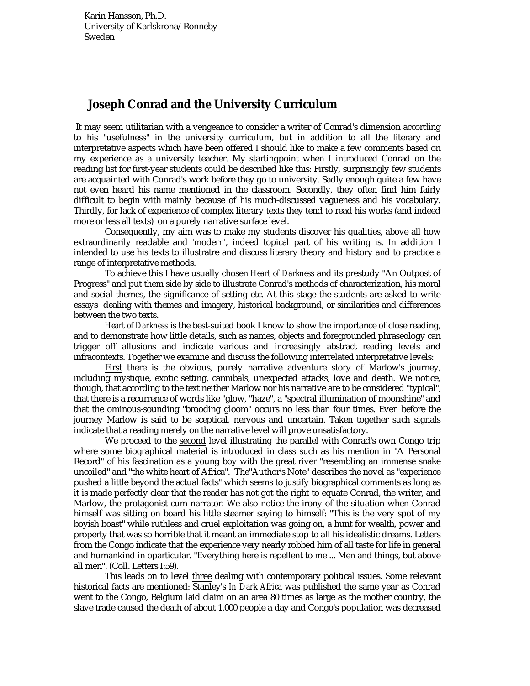## **Joseph Conrad and the University Curriculum**

 It may seem utilitarian with a vengeance to consider a writer of Conrad's dimension according to his "usefulness" in the university curriculum, but in addition to all the literary and interpretative aspects which have been offered I should like to make a few comments based on my experience as a university teacher. My startingpoint when I introduced Conrad on the reading list for first-year students could be described like this: Firstly, surprisingly few students are acquainted with Conrad's work before they go to university. Sadly enough quite a few have not even heard his name mentioned in the classroom. Secondly, they often find him fairly difficult to begin with mainly because of his much-discussed vagueness and his vocabulary. Thirdly, for lack of experience of complex literary texts they tend to read his works (and indeed more or less all texts) on a purely narrative surface level.

 Consequently, my aim was to make my students discover his qualities, above all how extraordinarily readable and 'modern', indeed topical part of his writing is. In addition I intended to use his texts to illustratre and discuss literary theory and history and to practice a range of interpretative methods.

 To achieve this I have usually chosen *Heart of Darkness* and its prestudy "An Outpost of Progress" and put them side by side to illustrate Conrad's methods of characterization, his moral and social themes, the significance of setting etc. At this stage the students are asked to write essays dealing with themes and imagery, historical background, or similarities and differences between the two texts.

*Heart of Darkness* is the best-suited book I know to show the importance of close reading, and to demonstrate how little details, such as names, objects and foregrounded phraseology can trigger off allusions and indicate various and increasingly abstract reading levels and infracontexts. Together we examine and discuss the following interrelated interpretative levels:

 First there is the obvious, purely narrative adventure story of Marlow's journey, including mystique, exotic setting, cannibals, unexpected attacks, love and death. We notice, though, that according to the text neither Marlow nor his narrative are to be considered "typical", that there is a recurrence of words like "glow, "haze", a "spectral illumination of moonshine" and that the ominous-sounding "brooding gloom" occurs no less than four times. Even before the journey Marlow is said to be sceptical, nervous and uncertain. Taken together such signals indicate that a reading merely on the narrative level will prove unsatisfactory.

 We proceed to the second level illustrating the parallel with Conrad's own Congo trip where some biographical material is introduced in class such as his mention in "A Personal Record" of his fascination as a young boy with the great river "resembling an immense snake uncoiled" and "the white heart of Africa". The"Author's Note" describes the novel as "experience pushed a little beyond the actual facts" which seems to justify biographical comments as long as it is made perfectly clear that the reader has not got the right to equate Conrad, the writer, and Marlow, the protagonist cum narrator. We also notice the irony of the situation when Conrad himself was sitting on board his little steamer saying to himself: "This is the very spot of my boyish boast" while ruthless and cruel exploitation was going on, a hunt for wealth, power and property that was so horrible that it meant an immediate stop to all his idealistic dreams. Letters from the Congo indicate that the experience very nearly robbed him of all taste for life in general and humankind in oparticular. "Everything here is repellent to me ... Men and things, but above all men". (Coll. Letters I:59).

 This leads on to level three dealing with contemporary political issues. Some relevant historical facts are mentioned: Stanley's *In Dark Africa* was published the same year as Conrad went to the Congo, Belgium laid claim on an area 80 times as large as the mother country, the slave trade caused the death of about 1,000 people a day and Congo's population was decreased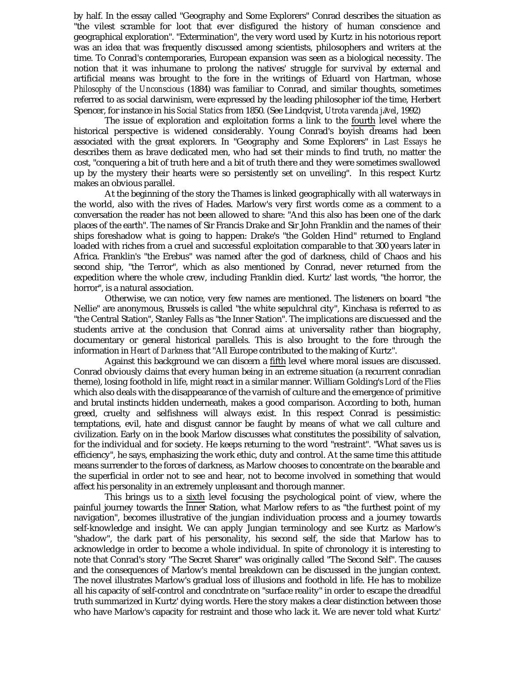by half. In the essay called "Geography and Some Explorers" Conrad describes the situation as "the vilest scramble for loot that ever disfigured the history of human conscience and geographical exploration". "Extermination", the very word used by Kurtz in his notorious report was an idea that was frequently discussed among scientists, philosophers and writers at the time. To Conrad's contemporaries, European expansion was seen as a biological necessity. The notion that it was inhumane to prolong the natives' struggle for survival by external and artificial means was brought to the fore in the writings of Eduard von Hartman, whose *Philosophy of the Unconscious* (1884) was familiar to Conrad, and similar thoughts, sometimes referred to as social darwinism, were expressed by the leading philosopher iof the time, Herbert Spencer, for instance in his *Social Statics* from 1850. (See Lindqvist, *Utrota varenda j*#*vel*, 1992)

The issue of exploration and exploitation forms a link to the fourth level where the historical perspective is widened considerably. Young Conrad's boyish dreams had been associated with the great explorers. In "Geography and Some Explorers" in *Last Essays* he describes them as brave dedicated men, who had set their minds to find truth, no matter the cost, "conquering a bit of truth here and a bit of truth there and they were sometimes swallowed up by the mystery their hearts were so persistently set on unveiling". In this respect Kurtz makes an obvious parallel.

At the beginning of the story the Thames is linked geographically with all waterways in the world, also with the rives of Hades. Marlow's very first words come as a comment to a conversation the reader has not been allowed to share: "And this also has been one of the dark places of the earth". The names of Sir Francis Drake and Sir John Franklin and the names of their ships foreshadow what is going to happen: Drake's "the Golden Hind" returned to England loaded with riches from a cruel and successful exploitation comparable to that 300 years later in Africa. Franklin's "the Erebus" was named after the god of darkness, child of Chaos and his second ship, "the Terror", which as also mentioned by Conrad, never returned from the expedition where the whole crew, including Franklin died. Kurtz' last words, "the horror, the horror", is a natural association.

Otherwise, we can notice, very few names are mentioned. The listeners on board "the Nellie" are anonymous, Brussels is called "the white sepulchral city", Kinchasa is referred to as "the Central Station", Stanley Falls as "the Inner Station". The implications are discuessed and the students arrive at the conclusion that Conrad aims at universality rather than biography, documentary or general historical parallels. This is also brought to the fore through the information in *Heart of Darkness* that "All Europe contributed to the making of Kurtz".

Against this background we can discern a fifth level where moral issues are discussed. Conrad obviously claims that every human being in an extreme situation (a recurrent conradian theme), losing foothold in life, might react in a similar manner. William Golding's *Lord of the Flies* which also deals with the disappearance of the varnish of culture and the emergence of primitive and brutal instincts hidden underneath, makes a good comparison. According to both, human greed, cruelty and selfishness will always exist. In this respect Conrad is pessimistic: temptations, evil, hate and disgust cannor be faught by means of what we call culture and civilization. Early on in the book Marlow discusses what constitutes the possibility of salvation, for the individual and for society. He keeps returning to the word "restraint". "What saves us is efficiency", he says, emphasizing the work ethic, duty and control. At the same time this attitude means surrender to the forces of darkness, as Marlow chooses to concentrate on the bearable and the superficial in order not to see and hear, not to become involved in something that would affect his personality in an extremely unpleasant and thorough manner.

 This brings us to a sixth level focusing the psychological point of view, where the painful journey towards the Inner Station, what Marlow refers to as "the furthest point of my navigation", becomes illustrative of the jungian individuation process and a journey towards self-knowledge and insight. We can apply Jungian terminology and see Kurtz as Marlow's "shadow", the dark part of his personality, his second self, the side that Marlow has to acknowledge in order to become a whole individual. In spite of chronology it is interesting to note that Conrad's story "The Secret Sharer" was originally called "The Second Self". The causes and the consequences of Marlow's mental breakdown can be discussed in the jungian context. The novel illustrates Marlow's gradual loss of illusions and foothold in life. He has to mobilize all his capacity of self-control and concdntrate on "surface reality" in order to escape the dreadful truth summarized in Kurtz' dying words. Here the story makes a clear distinction between those who have Marlow's capacity for restraint and those who lack it. We are never told what Kurtz'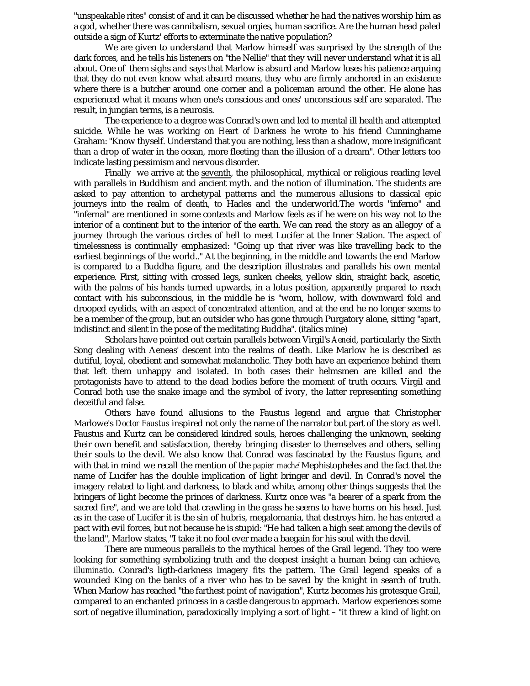"unspeakable rites" consist of and it can be discussed whether he had the natives worship him as a god, whether there was cannibalism, sexual orgies, human sacrifice. Are the human head paled outside a sign of Kurtz' efforts to exterminate the native population?

 We are given to understand that Marlow himself was surprised by the strength of the dark forces, and he tells his listeners on "the Nellie" that they will never understand what it is all about. One of them sighs and says that Marlow is absurd and Marlow loses his patience arguing that they do not even know what absurd means, they who are firmly anchored in an existence where there is a butcher around one corner and a policeman around the other. He alone has experienced what it means when one's conscious and ones' unconscious self are separated. The result, in jungian terms, is a neurosis.

 The experience to a degree was Conrad's own and led to mental ill health and attempted suicide. While he was working on *Heart of Darkness* he wrote to his friend Cunninghame Graham: "Know thyself. Understand that you are nothing, less than a shadow, more insignificant than a drop of water in the ocean, more fleeting than the illusion of a dream". Other letters too indicate lasting pessimism and nervous disorder.

 Finally we arrive at the seventh, the philosophical, mythical or religious reading level with parallels in Buddhism and ancient myth. and the notion of illumination. The students are asked to pay attention to archetypal patterns and the numerous allusions to classical epic journeys into the realm of death, to Hades and the underworld.The words "inferno" and "infernal" are mentioned in some contexts and Marlow feels as if he were on his way not to the interior of a continent but to the interior of the earth. We can read the story as an allegoy of a journey through the various circles of hell to meet Lucifer at the Inner Station. The aspect of timelessness is continually emphasized: "Going up that river was like travelling back to the earliest beginnings of the world.." At the beginning, in the middle and towards the end Marlow is compared to a Buddha figure, and the description illustrates and parallels his own mental experience. First, sitting with crossed legs, sunken cheeks, yellow skin, straight back, ascetic, with the palms of his hands turned upwards, in a lotus position, apparently *prepared* to reach contact with his subconscious, in the middle he is "worn, hollow, with downward fold and drooped eyelids, with an aspect of concentrated attention, and at the end he no longer seems to be a member of the group, but an outsider who has gone through Purgatory alone, sitting "*apart*, indistinct and silent in the pose of the meditating Buddha". (italics mine)

 Scholars have pointed out certain parallels between Virgil's *Aeneid*, particularly the Sixth Song dealing with Aeneas' descent into the realms of death. Like Marlow he is described as dutiful, loyal, obedient and somewhat melancholic. They both have an experience behind them that left them unhappy and isolated. In both cases their helmsmen are killed and the protagonists have to attend to the dead bodies before the moment of truth occurs. Virgil and Conrad both use the snake image and the symbol of ivory, the latter representing something deceitful and false.

 Others have found allusions to the Faustus legend and argue that Christopher Marlowe's *Doctor Faustus* inspired not only the name of the narrator but part of the story as well. Faustus and Kurtz can be considered kindred souls, heroes challenging the unknown, seeking their own benefit and satisfacxtion, thereby bringing disaster to themselves and others, selling their souls to the devil. We also know that Conrad was fascinated by the Faustus figure, and with that in mind we recall the mention of the *papier maché* Mephistopheles and the fact that the name of Lucifer has the double implication of light bringer and devil. In Conrad's novel the imagery related to light and darkness, to black and white, among other things suggests that the bringers of light become the princes of darkness. Kurtz once was "a bearer of a spark from the sacred fire", and we are told that crawling in the grass he seems to have horns on his head. Just as in the case of Lucifer it is the sin of hubris, megalomania, that destroys him. he has entered a pact with evil forces, but not because he is stupid: "He had talken a high seat among the devils of the land", Marlow states, "I take it no fool ever made a baegain for his soul with the devil.

 There are numeous parallels to the mythical heroes of the Grail legend. They too were looking for something symbolizing truth and the deepest insight a human being can achieve, *illuminatio*. Conrad's ligth-darkness imagery fits the pattern. The Grail legend speaks of a wounded King on the banks of a river who has to be saved by the knight in search of truth. When Marlow has reached "the farthest point of navigation", Kurtz becomes his grotesque Grail, compared to an enchanted princess in a castle dangerous to approach. Marlow experiences some sort of negative illumination, paradoxically implying a sort of light – "it threw a kind of light on